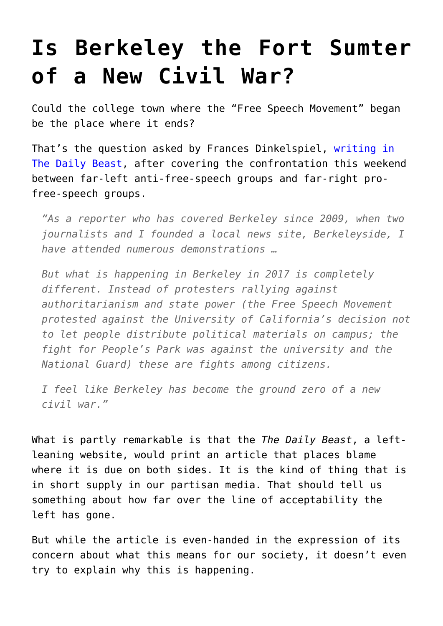## **[Is Berkeley the Fort Sumter](https://intellectualtakeout.org/2017/04/is-berkeley-the-fort-sumter-of-a-new-civil-war/) [of a New Civil War?](https://intellectualtakeout.org/2017/04/is-berkeley-the-fort-sumter-of-a-new-civil-war/)**

Could the college town where the "Free Speech Movement" began be the place where it ends?

That's the question asked by Frances Dinkelspiel, [writing in](http://www.thedailybeast.com/articles/2017/04/16/a-little-american-civil-war-in-berkeley.html) [The Daily Beast](http://www.thedailybeast.com/articles/2017/04/16/a-little-american-civil-war-in-berkeley.html), after covering the confrontation this weekend between far-left anti-free-speech groups and far-right profree-speech groups.

*"As a reporter who has covered Berkeley since 2009, when two journalists and I founded a local news site, Berkeleyside, I have attended numerous demonstrations …*

*But what is happening in Berkeley in 2017 is completely different. Instead of protesters rallying against authoritarianism and state power (the Free Speech Movement protested against the University of California's decision not to let people distribute political materials on campus; the fight for People's Park was against the university and the National Guard) these are fights among citizens.*

*I feel like Berkeley has become the ground zero of a new civil war."*

What is partly remarkable is that the *The Daily Beast*, a leftleaning website, would print an article that places blame where it is due on both sides. It is the kind of thing that is in short supply in our partisan media. That should tell us something about how far over the line of acceptability the left has gone.

But while the article is even-handed in the expression of its concern about what this means for our society, it doesn't even try to explain why this is happening.